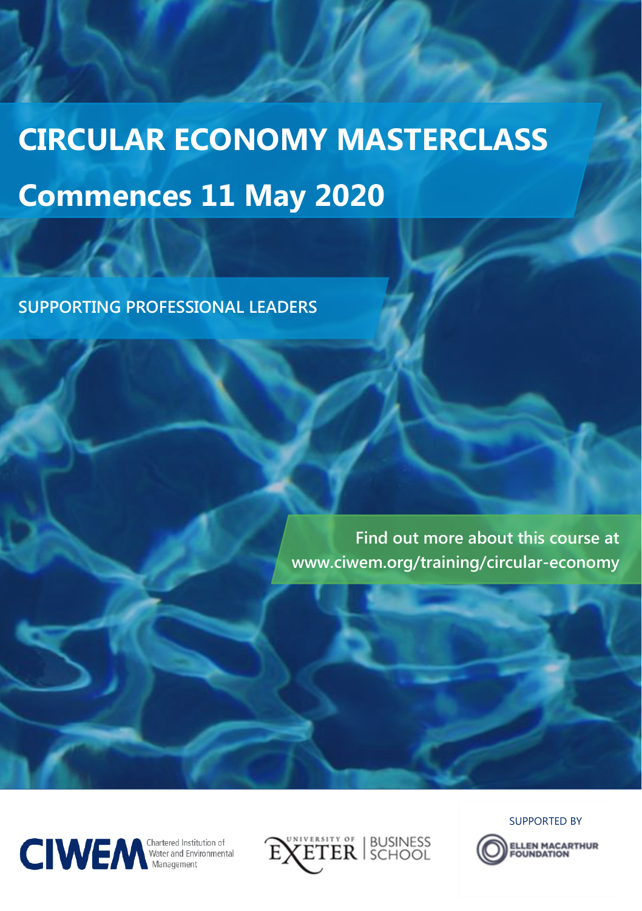# **CIRCULAR ECONOMY MASTERCLASS Commences 11 May 2020**

**SUPPORTING PROFESSIONAL LEADERS**

**Find out more about this course at www.ciwem.org/training/circular-economy**





SUPPORTED BY

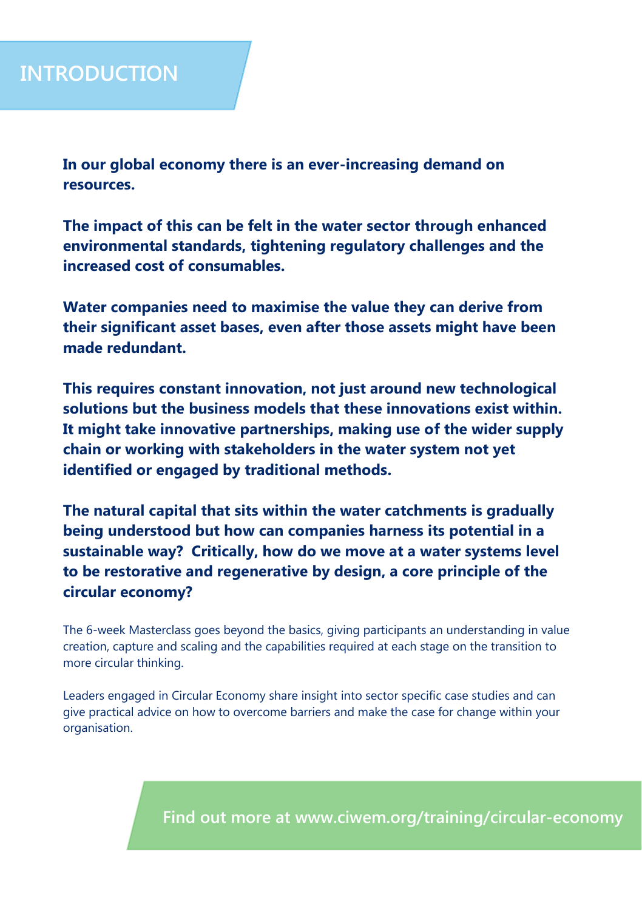**In our global economy there is an ever-increasing demand on resources.** 

**The impact of this can be felt in the water sector through enhanced environmental standards, tightening regulatory challenges and the increased cost of consumables.**

**Water companies need to maximise the value they can derive from their significant asset bases, even after those assets might have been made redundant.** 

**This requires constant innovation, not just around new technological solutions but the business models that these innovations exist within. It might take innovative partnerships, making use of the wider supply chain or working with stakeholders in the water system not yet identified or engaged by traditional methods.**

**The natural capital that sits within the water catchments is gradually being understood but how can companies harness its potential in a sustainable way? Critically, how do we move at a water systems level to be restorative and regenerative by design, a core principle of the circular economy?**

The 6-week Masterclass goes beyond the basics, giving participants an understanding in value creation, capture and scaling and the capabilities required at each stage on the transition to more circular thinking.

Leaders engaged in Circular Economy share insight into sector specific case studies and can give practical advice on how to overcome barriers and make the case for change within your organisation.

**Find out more at www.ciwem.org/training/circular-economy**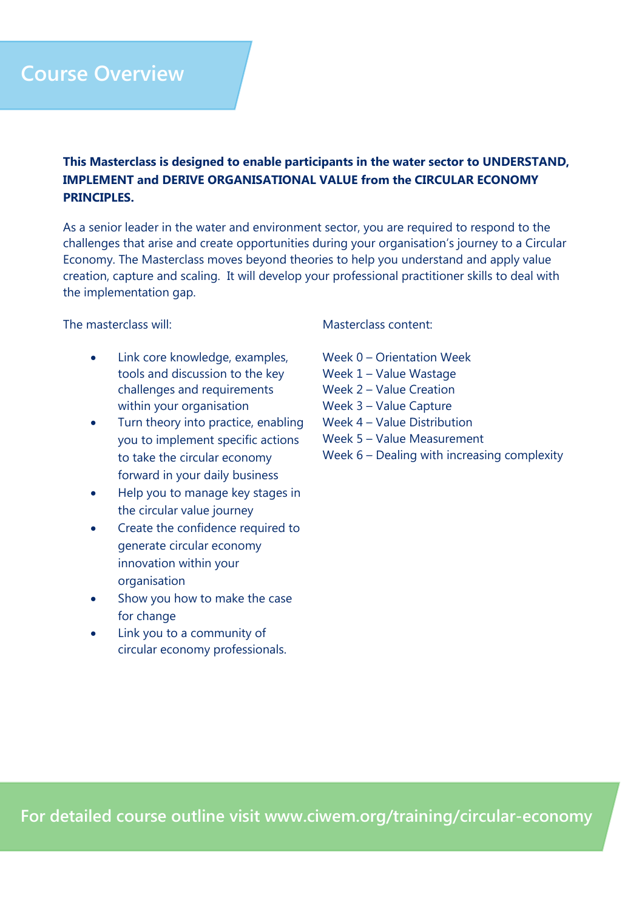## **Course Overview**

#### **This Masterclass is designed to enable participants in the water sector to UNDERSTAND, IMPLEMENT and DERIVE ORGANISATIONAL VALUE from the CIRCULAR ECONOMY PRINCIPLES.**

As a senior leader in the water and environment sector, you are required to respond to the challenges that arise and create opportunities during your organisation's journey to a Circular Economy. The Masterclass moves beyond theories to help you understand and apply value creation, capture and scaling. It will develop your professional practitioner skills to deal with the implementation gap.

#### The masterclass will:

- Link core knowledge, examples, tools and discussion to the key challenges and requirements within your organisation
- Turn theory into practice, enabling you to implement specific actions to take the circular economy forward in your daily business
- Help you to manage key stages in the circular value journey
- Create the confidence required to generate circular economy innovation within your organisation
- Show you how to make the case for change
- Link you to a community of circular economy professionals.

#### Masterclass content:

- Week 0 Orientation Week
- Week 1 Value Wastage
- Week 2 Value Creation
- Week 3 Value Capture
- Week 4 Value Distribution
- Week 5 Value Measurement
- Week 6 Dealing with increasing complexity